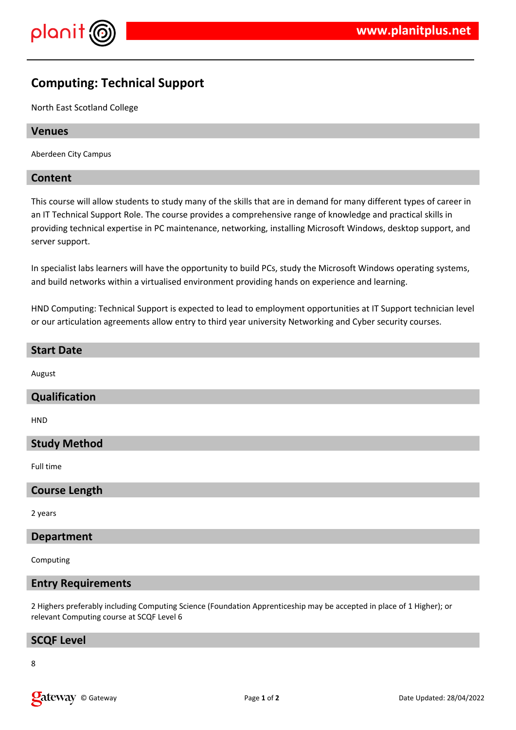

# **Computing: Technical Support**

North East Scotland College

#### **Venues**

Aberdeen City Campus

### **Content**

This course will allow students to study many of the skills that are in demand for many different types of career in an IT Technical Support Role. The course provides a comprehensive range of knowledge and practical skills in providing technical expertise in PC maintenance, networking, installing Microsoft Windows, desktop support, and server support.

In specialist labs learners will have the opportunity to build PCs, study the Microsoft Windows operating systems, and build networks within a virtualised environment providing hands on experience and learning.

HND Computing: Technical Support is expected to lead to employment opportunities at IT Support technician level or our articulation agreements allow entry to third year university Networking and Cyber security courses.

### **Start Date**

August

### **Qualification**

HND

# **Study Method**

Full time

#### **Course Length**

2 years

#### **Department**

Computing

#### **Entry Requirements**

2 Highers preferably including Computing Science (Foundation Apprenticeship may be accepted in place of 1 Higher); or relevant Computing course at SCQF Level 6

#### **SCQF Level**